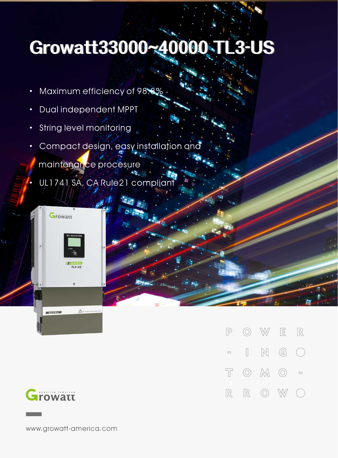## **Growatt33000~40000TL3-US**

**TA** 

- Maximum efficiency of 98.8%
- · Dual independent MPPT
- · String level monitoring
- · Compact design, easy installation and
	- maintenance procesure
- UL1741 SA, CA Rule21 compliant



 $\triangle$ 





Wire Box

www.growatt-america.com